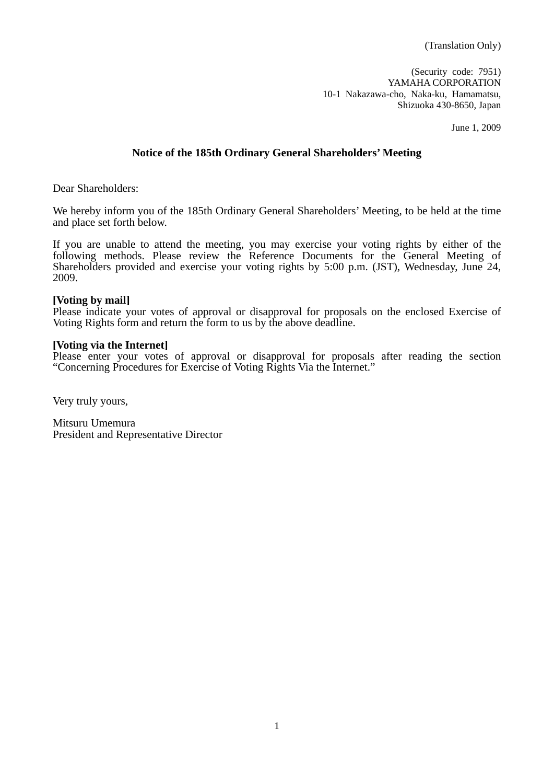(Translation Only)

(Security code: 7951) YAMAHA CORPORATION 10-1 Nakazawa-cho, Naka-ku, Hamamatsu, Shizuoka 430-8650, Japan

June 1, 2009

## **Notice of the 185th Ordinary General Shareholders' Meeting**

Dear Shareholders:

We hereby inform you of the 185th Ordinary General Shareholders' Meeting, to be held at the time and place set forth below.

If you are unable to attend the meeting, you may exercise your voting rights by either of the following methods. Please review the Reference Documents for the General Meeting of Shareholders provided and exercise your voting rights by 5:00 p.m. (JST), Wednesday, June 24, 2009.

#### **[Voting by mail]**

Please indicate your votes of approval or disapproval for proposals on the enclosed Exercise of Voting Rights form and return the form to us by the above deadline.

### **[Voting via the Internet]**

Please enter your votes of approval or disapproval for proposals after reading the section "Concerning Procedures for Exercise of Voting Rights Via the Internet."

Very truly yours,

Mitsuru Umemura President and Representative Director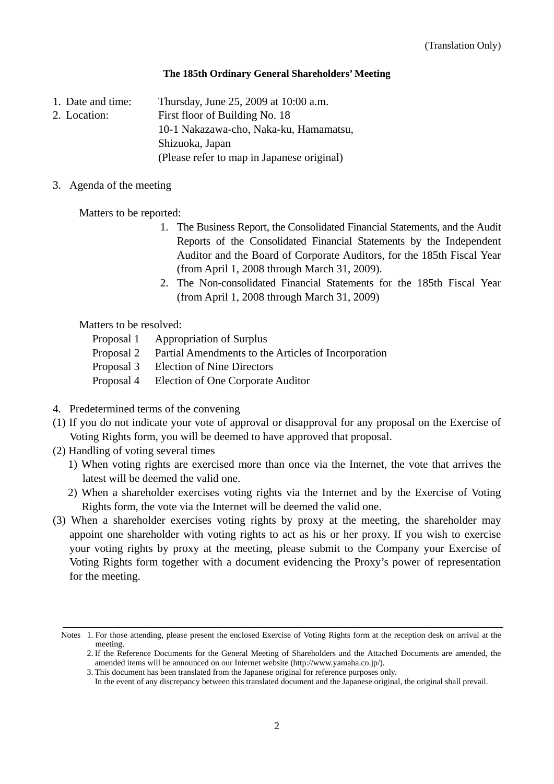### **The 185th Ordinary General Shareholders' Meeting**

1. Date and time: Thursday, June 25, 2009 at 10:00 a.m.

2. Location: First floor of Building No. 18

10-1 Nakazawa-cho, Naka-ku, Hamamatsu,

Shizuoka, Japan

(Please refer to map in Japanese original)

3. Agenda of the meeting

Matters to be reported:

- 1. The Business Report, the Consolidated Financial Statements, and the Audit Reports of the Consolidated Financial Statements by the Independent Auditor and the Board of Corporate Auditors, for the 185th Fiscal Year (from April 1, 2008 through March 31, 2009).
- 2. The Non-consolidated Financial Statements for the 185th Fiscal Year (from April 1, 2008 through March 31, 2009)

Matters to be resolved:

- Proposal 1 Appropriation of Surplus
- Proposal 2 Partial Amendments to the Articles of Incorporation
- Proposal 3 Election of Nine Directors
- Proposal 4 Election of One Corporate Auditor
- 4. Predetermined terms of the convening
- (1) If you do not indicate your vote of approval or disapproval for any proposal on the Exercise of Voting Rights form, you will be deemed to have approved that proposal.
- (2) Handling of voting several times
	- 1) When voting rights are exercised more than once via the Internet, the vote that arrives the latest will be deemed the valid one.
	- 2) When a shareholder exercises voting rights via the Internet and by the Exercise of Voting Rights form, the vote via the Internet will be deemed the valid one.
- (3) When a shareholder exercises voting rights by proxy at the meeting, the shareholder may appoint one shareholder with voting rights to act as his or her proxy. If you wish to exercise your voting rights by proxy at the meeting, please submit to the Company your Exercise of Voting Rights form together with a document evidencing the Proxy's power of representation for the meeting.

Notes 1. For those attending, please present the enclosed Exercise of Voting Rights form at the reception desk on arrival at the meeting.

<sup>2.</sup> If the Reference Documents for the General Meeting of Shareholders and the Attached Documents are amended, the amended items will be announced on our Internet website (http://www.yamaha.co.jp/).

<sup>3.</sup> This document has been translated from the Japanese original for reference purposes only.

In the event of any discrepancy between this translated document and the Japanese original, the original shall prevail.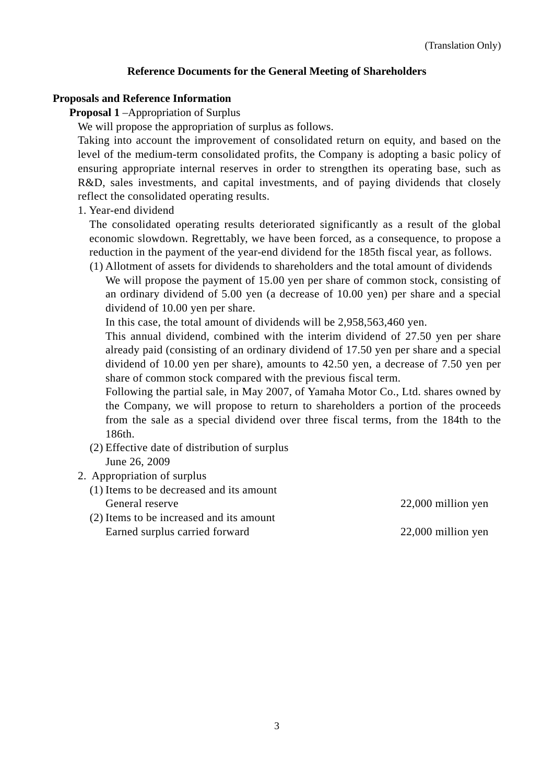## **Reference Documents for the General Meeting of Shareholders**

### **Proposals and Reference Information**

**Proposal 1** –Appropriation of Surplus

We will propose the appropriation of surplus as follows.

Taking into account the improvement of consolidated return on equity, and based on the level of the medium-term consolidated profits, the Company is adopting a basic policy of ensuring appropriate internal reserves in order to strengthen its operating base, such as R&D, sales investments, and capital investments, and of paying dividends that closely reflect the consolidated operating results.

1. Year-end dividend

 The consolidated operating results deteriorated significantly as a result of the global economic slowdown. Regrettably, we have been forced, as a consequence, to propose a reduction in the payment of the year-end dividend for the 185th fiscal year, as follows.

(1) Allotment of assets for dividends to shareholders and the total amount of dividends We will propose the payment of 15.00 yen per share of common stock, consisting of an ordinary dividend of 5.00 yen (a decrease of 10.00 yen) per share and a special dividend of 10.00 yen per share.

In this case, the total amount of dividends will be 2,958,563,460 yen.

This annual dividend, combined with the interim dividend of 27.50 yen per share already paid (consisting of an ordinary dividend of 17.50 yen per share and a special dividend of 10.00 yen per share), amounts to 42.50 yen, a decrease of 7.50 yen per share of common stock compared with the previous fiscal term.

Following the partial sale, in May 2007, of Yamaha Motor Co., Ltd. shares owned by the Company, we will propose to return to shareholders a portion of the proceeds from the sale as a special dividend over three fiscal terms, from the 184th to the 186th.

- (2) Effective date of distribution of surplus June 26, 2009
- 2. Appropriation of surplus
	- (1) Items to be decreased and its amount General reserve 22,000 million yen
	- (2) Items to be increased and its amount Earned surplus carried forward 22,000 million yen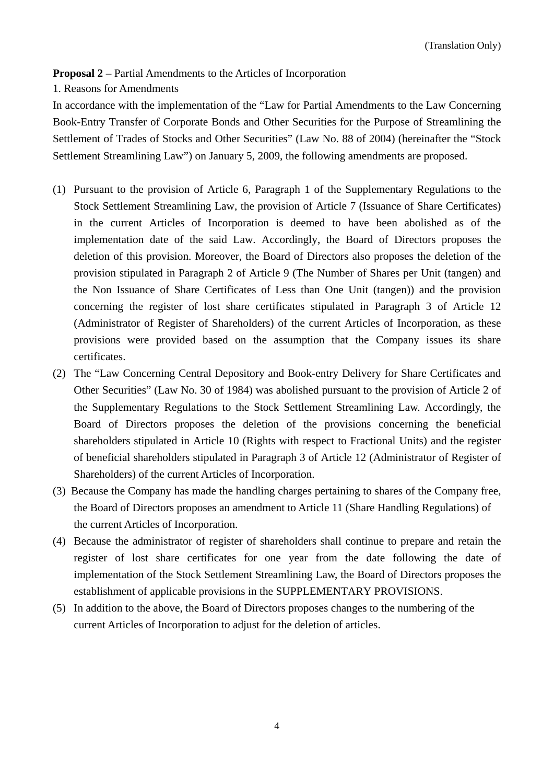**Proposal 2** – Partial Amendments to the Articles of Incorporation

1. Reasons for Amendments

In accordance with the implementation of the "Law for Partial Amendments to the Law Concerning Book-Entry Transfer of Corporate Bonds and Other Securities for the Purpose of Streamlining the Settlement of Trades of Stocks and Other Securities" (Law No. 88 of 2004) (hereinafter the "Stock Settlement Streamlining Law") on January 5, 2009, the following amendments are proposed.

- (1) Pursuant to the provision of Article 6, Paragraph 1 of the Supplementary Regulations to the Stock Settlement Streamlining Law, the provision of Article 7 (Issuance of Share Certificates) in the current Articles of Incorporation is deemed to have been abolished as of the implementation date of the said Law. Accordingly, the Board of Directors proposes the deletion of this provision. Moreover, the Board of Directors also proposes the deletion of the provision stipulated in Paragraph 2 of Article 9 (The Number of Shares per Unit (tangen) and the Non Issuance of Share Certificates of Less than One Unit (tangen)) and the provision concerning the register of lost share certificates stipulated in Paragraph 3 of Article 12 (Administrator of Register of Shareholders) of the current Articles of Incorporation, as these provisions were provided based on the assumption that the Company issues its share certificates.
- (2) The "Law Concerning Central Depository and Book-entry Delivery for Share Certificates and Other Securities" (Law No. 30 of 1984) was abolished pursuant to the provision of Article 2 of the Supplementary Regulations to the Stock Settlement Streamlining Law. Accordingly, the Board of Directors proposes the deletion of the provisions concerning the beneficial shareholders stipulated in Article 10 (Rights with respect to Fractional Units) and the register of beneficial shareholders stipulated in Paragraph 3 of Article 12 (Administrator of Register of Shareholders) of the current Articles of Incorporation.
- (3) Because the Company has made the handling charges pertaining to shares of the Company free, the Board of Directors proposes an amendment to Article 11 (Share Handling Regulations) of the current Articles of Incorporation.
- (4) Because the administrator of register of shareholders shall continue to prepare and retain the register of lost share certificates for one year from the date following the date of implementation of the Stock Settlement Streamlining Law, the Board of Directors proposes the establishment of applicable provisions in the SUPPLEMENTARY PROVISIONS.
- (5) In addition to the above, the Board of Directors proposes changes to the numbering of the current Articles of Incorporation to adjust for the deletion of articles.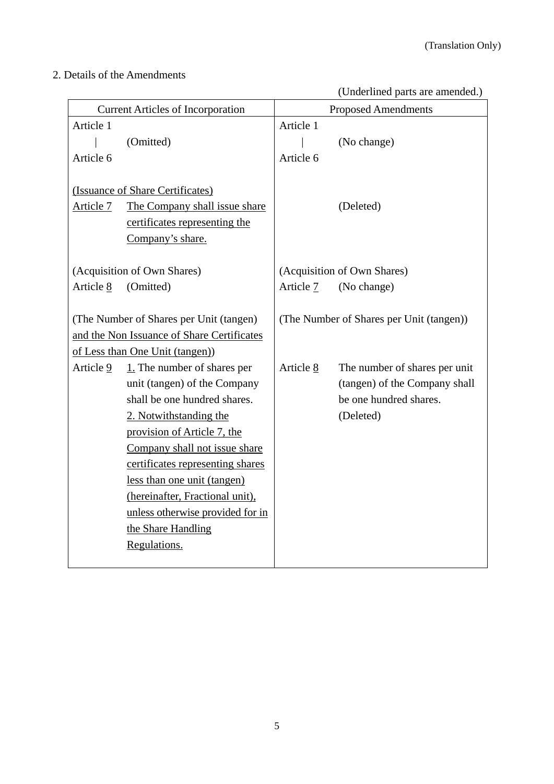# 2. Details of the Amendments

(Underlined parts are amended.)

| <b>Current Articles of Incorporation</b> |                                            | <b>Proposed Amendments</b> |                                          |  |
|------------------------------------------|--------------------------------------------|----------------------------|------------------------------------------|--|
| Article 1                                |                                            | Article 1                  |                                          |  |
|                                          | (Omitted)                                  |                            | (No change)                              |  |
| Article 6                                |                                            | Article 6                  |                                          |  |
|                                          |                                            |                            |                                          |  |
|                                          | (Issuance of Share Certificates)           |                            |                                          |  |
| Article 7                                | The Company shall issue share              |                            | (Deleted)                                |  |
|                                          | certificates representing the              |                            |                                          |  |
|                                          | Company's share.                           |                            |                                          |  |
|                                          |                                            |                            |                                          |  |
|                                          | (Acquisition of Own Shares)                |                            | (Acquisition of Own Shares)              |  |
| Article 8                                | (Omitted)                                  | Article 7                  | (No change)                              |  |
| (The Number of Shares per Unit (tangen)  |                                            |                            | (The Number of Shares per Unit (tangen)) |  |
|                                          | and the Non Issuance of Share Certificates |                            |                                          |  |
|                                          | of Less than One Unit (tangen)             |                            |                                          |  |
| Article 9                                | $1.$ The number of shares per              | Article 8                  | The number of shares per unit            |  |
|                                          | unit (tangen) of the Company               |                            | (tangen) of the Company shall            |  |
|                                          | shall be one hundred shares.               |                            | be one hundred shares.                   |  |
|                                          | 2. Notwithstanding the                     |                            | (Deleted)                                |  |
|                                          | provision of Article 7, the                |                            |                                          |  |
|                                          | Company shall not issue share              |                            |                                          |  |
|                                          | certificates representing shares           |                            |                                          |  |
|                                          | less than one unit (tangen)                |                            |                                          |  |
|                                          | (hereinafter, Fractional unit),            |                            |                                          |  |
|                                          | unless otherwise provided for in           |                            |                                          |  |
|                                          | the Share Handling                         |                            |                                          |  |
|                                          | Regulations.                               |                            |                                          |  |
|                                          |                                            |                            |                                          |  |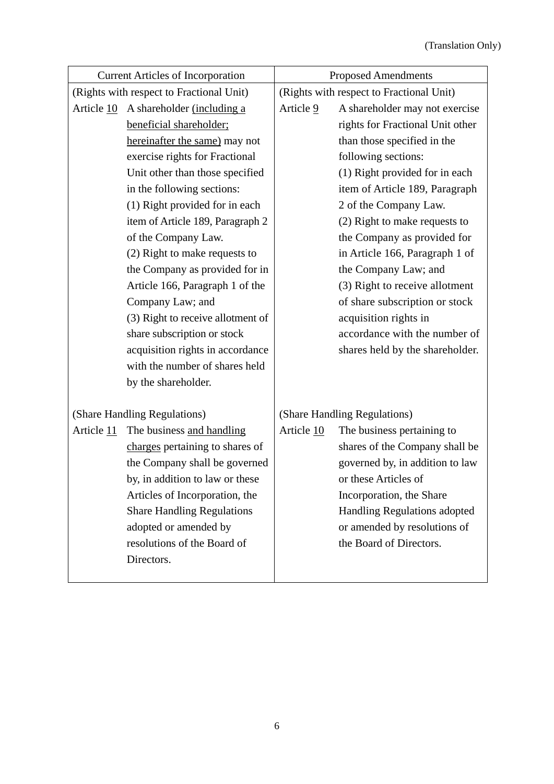| <b>Current Articles of Incorporation</b> | <b>Proposed Amendments</b> |                                          |  |
|------------------------------------------|----------------------------|------------------------------------------|--|
| (Rights with respect to Fractional Unit) |                            | (Rights with respect to Fractional Unit) |  |
| Article 10 A shareholder (including a    | Article 9                  | A shareholder may not exercise           |  |
| beneficial shareholder;                  |                            | rights for Fractional Unit other         |  |
| hereinafter the same) may not            |                            | than those specified in the              |  |
| exercise rights for Fractional           |                            | following sections:                      |  |
| Unit other than those specified          |                            | (1) Right provided for in each           |  |
| in the following sections:               |                            | item of Article 189, Paragraph           |  |
| (1) Right provided for in each           |                            | 2 of the Company Law.                    |  |
| item of Article 189, Paragraph 2         |                            | (2) Right to make requests to            |  |
| of the Company Law.                      |                            | the Company as provided for              |  |
| (2) Right to make requests to            |                            | in Article 166, Paragraph 1 of           |  |
| the Company as provided for in           |                            | the Company Law; and                     |  |
| Article 166, Paragraph 1 of the          |                            | (3) Right to receive allotment           |  |
| Company Law; and                         |                            | of share subscription or stock           |  |
| (3) Right to receive allotment of        |                            | acquisition rights in                    |  |
| share subscription or stock              |                            | accordance with the number of            |  |
| acquisition rights in accordance         |                            | shares held by the shareholder.          |  |
| with the number of shares held           |                            |                                          |  |
| by the shareholder.                      |                            |                                          |  |
| (Share Handling Regulations)             |                            | (Share Handling Regulations)             |  |
| Article 11 The business and handling     | Article 10                 | The business pertaining to               |  |
| charges pertaining to shares of          |                            | shares of the Company shall be           |  |
| the Company shall be governed            |                            | governed by, in addition to law          |  |
| by, in addition to law or these          |                            | or these Articles of                     |  |
| Articles of Incorporation, the           |                            | Incorporation, the Share                 |  |
| <b>Share Handling Regulations</b>        |                            | Handling Regulations adopted             |  |
| adopted or amended by                    |                            | or amended by resolutions of             |  |
| resolutions of the Board of              |                            | the Board of Directors.                  |  |
| Directors.                               |                            |                                          |  |
|                                          |                            |                                          |  |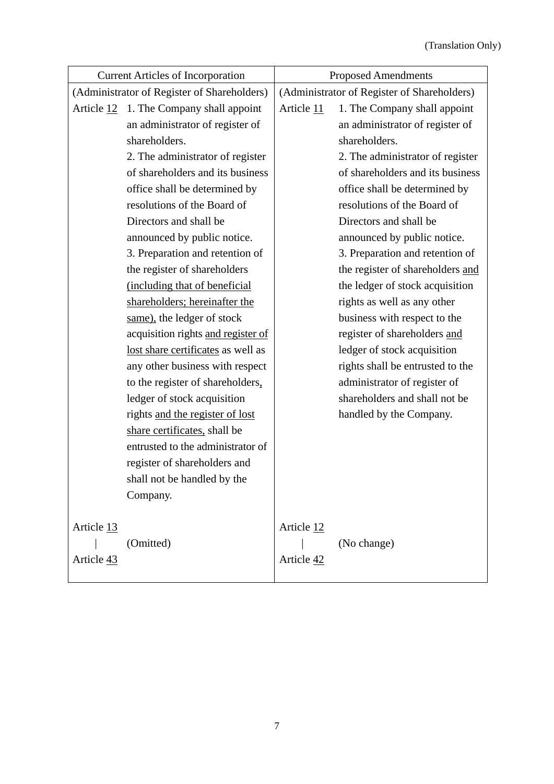| <b>Current Articles of Incorporation</b>    |                                                  | <b>Proposed Amendments</b>                  |                                  |  |
|---------------------------------------------|--------------------------------------------------|---------------------------------------------|----------------------------------|--|
| (Administrator of Register of Shareholders) |                                                  | (Administrator of Register of Shareholders) |                                  |  |
|                                             | Article $12 \quad 1$ . The Company shall appoint | Article 11                                  | 1. The Company shall appoint     |  |
|                                             | an administrator of register of                  |                                             | an administrator of register of  |  |
|                                             | shareholders.                                    |                                             | shareholders.                    |  |
|                                             | 2. The administrator of register                 |                                             | 2. The administrator of register |  |
|                                             | of shareholders and its business                 |                                             | of shareholders and its business |  |
|                                             | office shall be determined by                    |                                             | office shall be determined by    |  |
|                                             | resolutions of the Board of                      |                                             | resolutions of the Board of      |  |
|                                             | Directors and shall be                           |                                             | Directors and shall be           |  |
|                                             | announced by public notice.                      |                                             | announced by public notice.      |  |
|                                             | 3. Preparation and retention of                  |                                             | 3. Preparation and retention of  |  |
|                                             | the register of shareholders                     |                                             | the register of shareholders and |  |
|                                             | (including that of beneficial                    |                                             | the ledger of stock acquisition  |  |
|                                             | shareholders; hereinafter the                    |                                             | rights as well as any other      |  |
|                                             | same), the ledger of stock                       |                                             | business with respect to the     |  |
|                                             | acquisition rights and register of               |                                             | register of shareholders and     |  |
|                                             | lost share certificates as well as               |                                             | ledger of stock acquisition      |  |
|                                             | any other business with respect                  |                                             | rights shall be entrusted to the |  |
|                                             | to the register of shareholders,                 |                                             | administrator of register of     |  |
|                                             | ledger of stock acquisition                      |                                             | shareholders and shall not be    |  |
|                                             | rights and the register of lost                  |                                             | handled by the Company.          |  |
|                                             | share certificates, shall be                     |                                             |                                  |  |
|                                             | entrusted to the administrator of                |                                             |                                  |  |
|                                             | register of shareholders and                     |                                             |                                  |  |
|                                             | shall not be handled by the                      |                                             |                                  |  |
|                                             | Company.                                         |                                             |                                  |  |
|                                             |                                                  |                                             |                                  |  |
| Article 13                                  |                                                  | Article 12                                  |                                  |  |
|                                             | (Omitted)                                        |                                             | (No change)                      |  |
| Article 43                                  |                                                  | Article 42                                  |                                  |  |
|                                             |                                                  |                                             |                                  |  |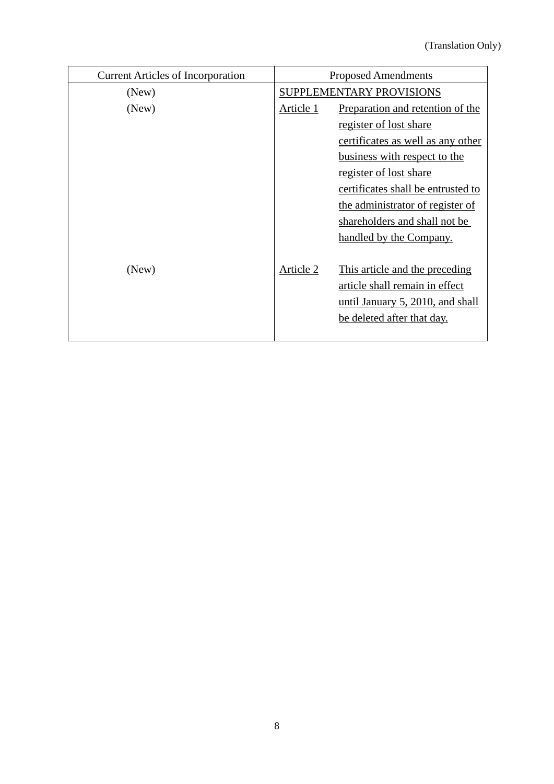| <b>Current Articles of Incorporation</b> | <b>Proposed Amendments</b> |                                    |
|------------------------------------------|----------------------------|------------------------------------|
| (New)                                    | SUPPLEMENTARY PROVISIONS   |                                    |
| (New)                                    | Article 1                  | Preparation and retention of the   |
|                                          |                            | register of lost share             |
|                                          |                            | certificates as well as any other  |
|                                          |                            | business with respect to the       |
|                                          |                            | register of lost share             |
|                                          |                            | certificates shall be entrusted to |
|                                          |                            | the administrator of register of   |
|                                          |                            | shareholders and shall not be      |
|                                          |                            | handled by the Company.            |
|                                          |                            |                                    |
| (New)                                    | Article 2                  | This article and the preceding     |
|                                          |                            | article shall remain in effect     |
|                                          |                            | until January 5, 2010, and shall   |
|                                          |                            | be deleted after that day.         |
|                                          |                            |                                    |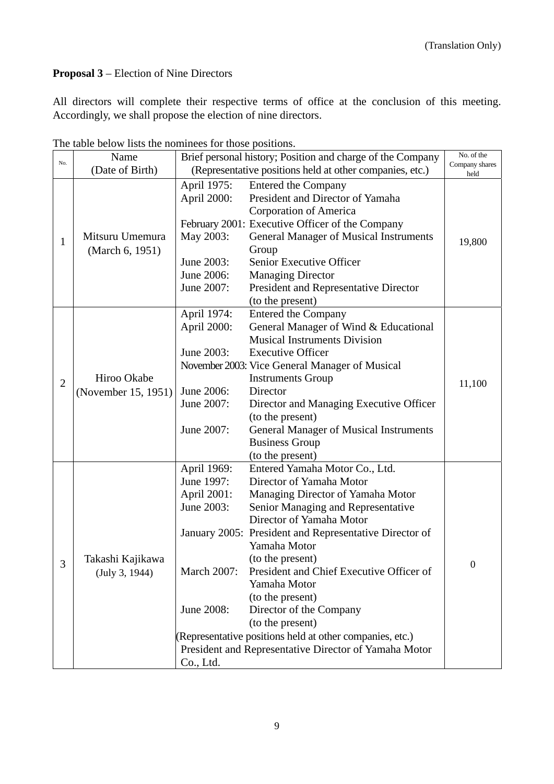## **Proposal 3** – Election of Nine Directors

All directors will complete their respective terms of office at the conclusion of this meeting. Accordingly, we shall propose the election of nine directors.

|                | The table below hots the hominees for those positions.<br>Brief personal history; Position and charge of the Company<br>Name |                                                          |                                                                | No. of the       |
|----------------|------------------------------------------------------------------------------------------------------------------------------|----------------------------------------------------------|----------------------------------------------------------------|------------------|
| No.            | (Date of Birth)                                                                                                              | (Representative positions held at other companies, etc.) |                                                                | Company shares   |
|                |                                                                                                                              |                                                          |                                                                | held             |
|                |                                                                                                                              | April 1975:                                              | <b>Entered the Company</b><br>President and Director of Yamaha |                  |
|                |                                                                                                                              | April 2000:                                              |                                                                |                  |
|                |                                                                                                                              |                                                          | Corporation of America                                         |                  |
|                |                                                                                                                              |                                                          | February 2001: Executive Officer of the Company                |                  |
| $\mathbf{1}$   | Mitsuru Umemura                                                                                                              | May 2003:                                                | <b>General Manager of Musical Instruments</b>                  | 19,800           |
|                | (March 6, 1951)                                                                                                              |                                                          | Group                                                          |                  |
|                |                                                                                                                              | June 2003:                                               | Senior Executive Officer                                       |                  |
|                |                                                                                                                              | June 2006:                                               | <b>Managing Director</b>                                       |                  |
|                |                                                                                                                              | June 2007:                                               | President and Representative Director                          |                  |
|                |                                                                                                                              |                                                          | (to the present)                                               |                  |
|                |                                                                                                                              | April 1974:                                              | <b>Entered the Company</b>                                     |                  |
|                |                                                                                                                              | April 2000:                                              | General Manager of Wind & Educational                          |                  |
|                |                                                                                                                              |                                                          | <b>Musical Instruments Division</b>                            |                  |
|                |                                                                                                                              | June 2003:                                               | <b>Executive Officer</b>                                       |                  |
|                |                                                                                                                              |                                                          | November 2003: Vice General Manager of Musical                 |                  |
| $\overline{2}$ | Hiroo Okabe                                                                                                                  |                                                          | <b>Instruments Group</b>                                       | 11,100           |
|                | (November 15, 1951)                                                                                                          | June 2006:                                               | Director                                                       |                  |
|                |                                                                                                                              | June 2007:                                               | Director and Managing Executive Officer                        |                  |
|                |                                                                                                                              |                                                          | (to the present)                                               |                  |
|                |                                                                                                                              | June 2007:                                               | <b>General Manager of Musical Instruments</b>                  |                  |
|                |                                                                                                                              |                                                          | <b>Business Group</b>                                          |                  |
|                |                                                                                                                              |                                                          | (to the present)                                               |                  |
|                |                                                                                                                              | April 1969:                                              | Entered Yamaha Motor Co., Ltd.                                 |                  |
|                |                                                                                                                              | June 1997:                                               | Director of Yamaha Motor                                       |                  |
|                |                                                                                                                              | April 2001:                                              | Managing Director of Yamaha Motor                              |                  |
|                |                                                                                                                              | June 2003:                                               | Senior Managing and Representative                             |                  |
|                |                                                                                                                              |                                                          | Director of Yamaha Motor                                       |                  |
|                |                                                                                                                              |                                                          | January 2005: President and Representative Director of         |                  |
|                |                                                                                                                              |                                                          | Yamaha Motor                                                   |                  |
| 3              | Takashi Kajikawa                                                                                                             |                                                          | (to the present)                                               | $\boldsymbol{0}$ |
|                | (July 3, 1944)                                                                                                               | <b>March 2007:</b>                                       | President and Chief Executive Officer of                       |                  |
|                |                                                                                                                              |                                                          | Yamaha Motor                                                   |                  |
|                |                                                                                                                              |                                                          | (to the present)                                               |                  |
|                |                                                                                                                              | June 2008:                                               | Director of the Company                                        |                  |
|                |                                                                                                                              |                                                          | (to the present)                                               |                  |
|                |                                                                                                                              |                                                          | (Representative positions held at other companies, etc.)       |                  |
|                |                                                                                                                              |                                                          | President and Representative Director of Yamaha Motor          |                  |
|                |                                                                                                                              | Co., Ltd.                                                |                                                                |                  |

The table below lists the nominees for those positions.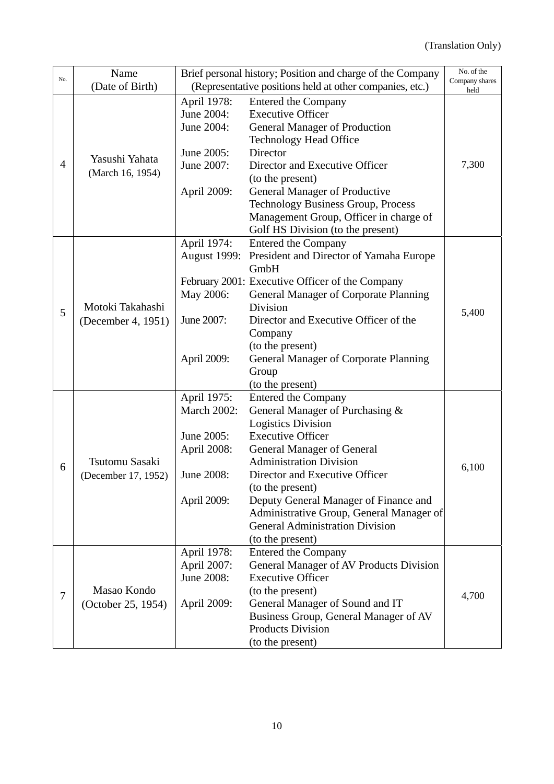|                         | Name                  |                     | Brief personal history; Position and charge of the Company                         | No. of the             |
|-------------------------|-----------------------|---------------------|------------------------------------------------------------------------------------|------------------------|
|                         | (Date of Birth)       |                     | (Representative positions held at other companies, etc.)                           | Company shares<br>held |
|                         |                       | April 1978:         | <b>Entered the Company</b>                                                         |                        |
| No.<br>4<br>5<br>6<br>7 |                       | June 2004:          | <b>Executive Officer</b>                                                           |                        |
|                         |                       | June 2004:          | <b>General Manager of Production</b>                                               |                        |
|                         |                       |                     | <b>Technology Head Office</b>                                                      |                        |
|                         |                       | June 2005:          | Director                                                                           |                        |
|                         | Yasushi Yahata        | June 2007:          | Director and Executive Officer                                                     | 7,300                  |
|                         | (March 16, 1954)      |                     | (to the present)                                                                   |                        |
|                         |                       | April 2009:         | General Manager of Productive                                                      |                        |
|                         |                       |                     | <b>Technology Business Group, Process</b>                                          |                        |
|                         |                       |                     | Management Group, Officer in charge of                                             |                        |
|                         |                       |                     | Golf HS Division (to the present)                                                  |                        |
|                         |                       | April 1974:         | <b>Entered the Company</b>                                                         |                        |
|                         |                       | <b>August 1999:</b> | President and Director of Yamaha Europe                                            |                        |
|                         |                       |                     | GmbH                                                                               |                        |
|                         |                       |                     | February 2001: Executive Officer of the Company                                    |                        |
|                         |                       | May 2006:           | <b>General Manager of Corporate Planning</b>                                       |                        |
|                         | Motoki Takahashi      |                     | Division                                                                           | 5,400                  |
|                         | (December 4, 1951)    | June 2007:          | Director and Executive Officer of the                                              |                        |
|                         |                       |                     | Company                                                                            |                        |
|                         |                       |                     | (to the present)                                                                   |                        |
|                         |                       | April 2009:         | <b>General Manager of Corporate Planning</b>                                       |                        |
|                         |                       |                     | Group                                                                              |                        |
|                         |                       |                     | (to the present)                                                                   |                        |
|                         |                       | April 1975:         | <b>Entered the Company</b>                                                         |                        |
|                         |                       | <b>March 2002:</b>  | General Manager of Purchasing &                                                    |                        |
|                         |                       |                     | <b>Logistics Division</b>                                                          |                        |
|                         |                       | June 2005:          | <b>Executive Officer</b>                                                           |                        |
|                         | <b>Tsutomu Sasaki</b> | April 2008:         | <b>General Manager of General</b>                                                  |                        |
|                         |                       |                     | <b>Administration Division</b>                                                     | 6,100                  |
|                         | (December 17, 1952)   | June 2008:          | Director and Executive Officer                                                     |                        |
|                         |                       |                     | (to the present)                                                                   |                        |
|                         |                       | April 2009:         | Deputy General Manager of Finance and                                              |                        |
|                         |                       |                     | Administrative Group, General Manager of<br><b>General Administration Division</b> |                        |
|                         |                       |                     | (to the present)                                                                   |                        |
|                         |                       | April 1978:         | <b>Entered the Company</b>                                                         |                        |
|                         |                       | April 2007:         | General Manager of AV Products Division                                            |                        |
|                         |                       | June 2008:          | <b>Executive Officer</b>                                                           |                        |
|                         | Masao Kondo           |                     | (to the present)                                                                   |                        |
|                         | (October 25, 1954)    | April 2009:         | General Manager of Sound and IT                                                    | 4,700                  |
|                         |                       |                     | Business Group, General Manager of AV                                              |                        |
|                         |                       |                     | <b>Products Division</b>                                                           |                        |
|                         |                       |                     | (to the present)                                                                   |                        |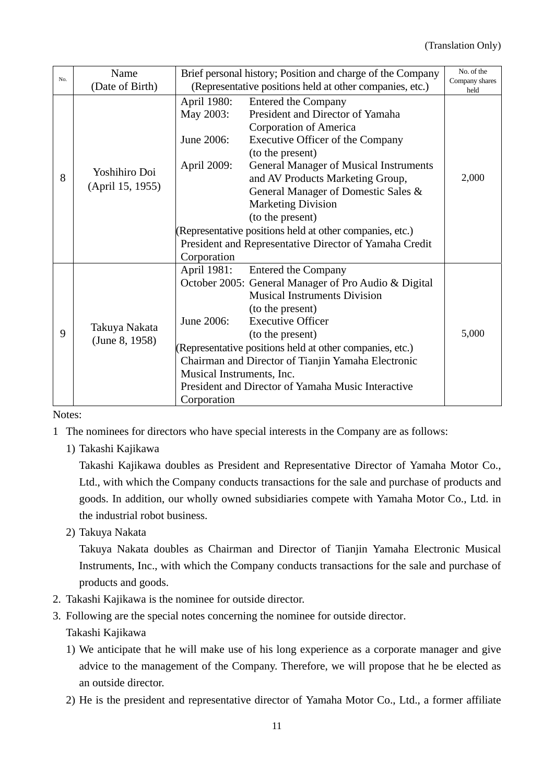| No. | Name                            | Brief personal history; Position and charge of the Company |                                                          | No. of the             |
|-----|---------------------------------|------------------------------------------------------------|----------------------------------------------------------|------------------------|
|     | (Date of Birth)                 |                                                            | (Representative positions held at other companies, etc.) | Company shares<br>held |
|     |                                 | April 1980:                                                | <b>Entered the Company</b>                               |                        |
|     |                                 | May 2003:                                                  | President and Director of Yamaha                         |                        |
|     |                                 |                                                            | Corporation of America                                   |                        |
|     |                                 | June 2006:                                                 | Executive Officer of the Company                         |                        |
|     |                                 |                                                            | (to the present)                                         |                        |
|     | Yoshihiro Doi                   | April 2009:                                                | <b>General Manager of Musical Instruments</b>            |                        |
| 8   |                                 |                                                            | and AV Products Marketing Group,                         | 2,000                  |
|     | (April 15, 1955)                |                                                            | General Manager of Domestic Sales &                      |                        |
|     |                                 |                                                            | <b>Marketing Division</b>                                |                        |
|     |                                 |                                                            | (to the present)                                         |                        |
|     |                                 | (Representative positions held at other companies, etc.)   |                                                          |                        |
|     |                                 |                                                            | President and Representative Director of Yamaha Credit   |                        |
|     |                                 | Corporation                                                |                                                          |                        |
|     |                                 | April 1981:                                                | <b>Entered the Company</b>                               |                        |
|     | Takuya Nakata<br>(June 8, 1958) |                                                            | October 2005: General Manager of Pro Audio & Digital     |                        |
|     |                                 |                                                            | <b>Musical Instruments Division</b>                      |                        |
|     |                                 |                                                            | (to the present)                                         |                        |
|     |                                 | June 2006:                                                 | <b>Executive Officer</b>                                 |                        |
| 9   |                                 |                                                            | (to the present)                                         | 5,000                  |
|     |                                 | (Representative positions held at other companies, etc.)   |                                                          |                        |
|     |                                 | Chairman and Director of Tianjin Yamaha Electronic         |                                                          |                        |
|     |                                 | Musical Instruments, Inc.                                  |                                                          |                        |
|     |                                 |                                                            | President and Director of Yamaha Music Interactive       |                        |
|     |                                 | Corporation                                                |                                                          |                        |

Notes:

- 1 The nominees for directors who have special interests in the Company are as follows:
	- 1) Takashi Kajikawa

Takashi Kajikawa doubles as President and Representative Director of Yamaha Motor Co., Ltd., with which the Company conducts transactions for the sale and purchase of products and goods. In addition, our wholly owned subsidiaries compete with Yamaha Motor Co., Ltd. in the industrial robot business.

2) Takuya Nakata

Takuya Nakata doubles as Chairman and Director of Tianjin Yamaha Electronic Musical Instruments, Inc., with which the Company conducts transactions for the sale and purchase of products and goods.

- 2. Takashi Kajikawa is the nominee for outside director.
- 3. Following are the special notes concerning the nominee for outside director.

Takashi Kajikawa

- 1) We anticipate that he will make use of his long experience as a corporate manager and give advice to the management of the Company. Therefore, we will propose that he be elected as an outside director.
- 2) He is the president and representative director of Yamaha Motor Co., Ltd., a former affiliate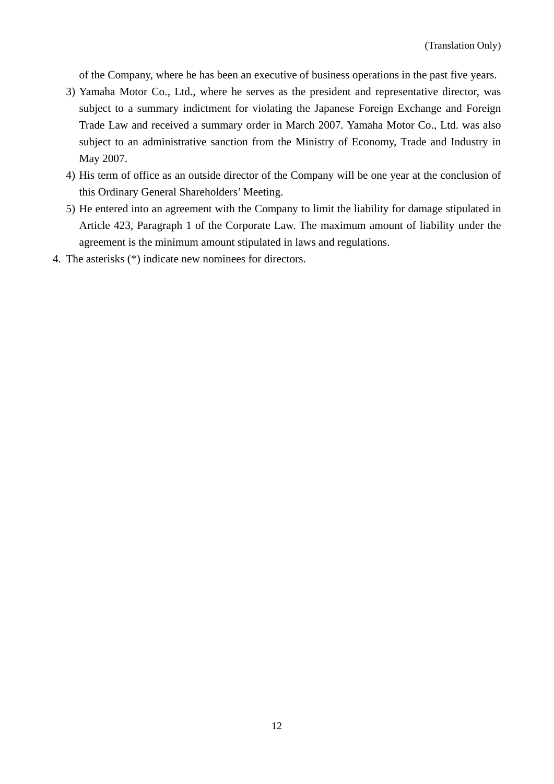of the Company, where he has been an executive of business operations in the past five years.

- 3) Yamaha Motor Co., Ltd., where he serves as the president and representative director, was subject to a summary indictment for violating the Japanese Foreign Exchange and Foreign Trade Law and received a summary order in March 2007. Yamaha Motor Co., Ltd. was also subject to an administrative sanction from the Ministry of Economy, Trade and Industry in May 2007.
- 4) His term of office as an outside director of the Company will be one year at the conclusion of this Ordinary General Shareholders' Meeting.
- 5) He entered into an agreement with the Company to limit the liability for damage stipulated in Article 423, Paragraph 1 of the Corporate Law. The maximum amount of liability under the agreement is the minimum amount stipulated in laws and regulations.
- 4. The asterisks (\*) indicate new nominees for directors.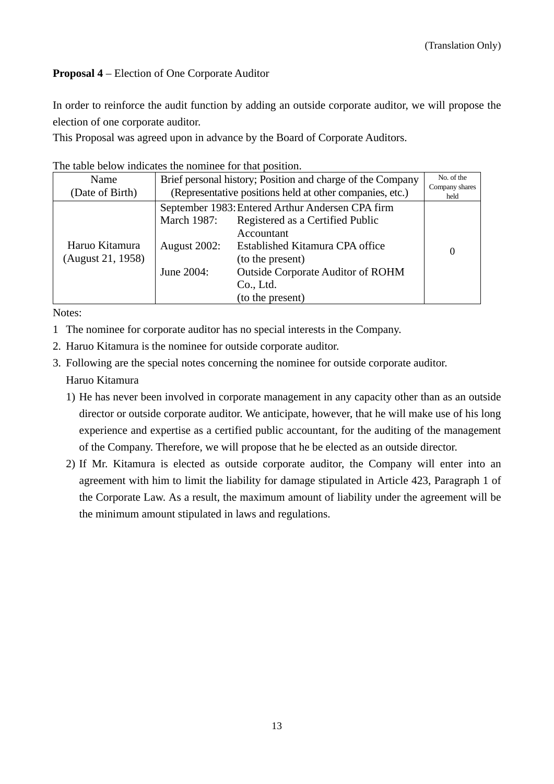# **Proposal 4** – Election of One Corporate Auditor

In order to reinforce the audit function by adding an outside corporate auditor, we will propose the election of one corporate auditor.

This Proposal was agreed upon in advance by the Board of Corporate Auditors.

| The table below indicates the homined for that position. |                                                            |                                          |                        |
|----------------------------------------------------------|------------------------------------------------------------|------------------------------------------|------------------------|
| Name                                                     | Brief personal history; Position and charge of the Company |                                          | No. of the             |
| (Date of Birth)                                          | (Representative positions held at other companies, etc.)   |                                          | Company shares<br>held |
|                                                          | September 1983: Entered Arthur Andersen CPA firm           |                                          |                        |
|                                                          | <b>March 1987:</b>                                         | Registered as a Certified Public         |                        |
|                                                          |                                                            | Accountant                               |                        |
| Haruo Kitamura                                           | <b>August 2002:</b>                                        | Established Kitamura CPA office          | $\Omega$               |
| (August 21, 1958)                                        |                                                            | (to the present)                         |                        |
|                                                          | June 2004:                                                 | <b>Outside Corporate Auditor of ROHM</b> |                        |
|                                                          |                                                            | Co., Ltd.                                |                        |
|                                                          |                                                            | (to the present)                         |                        |

The table below indicates the nominee for that position.

Notes:

- 1 The nominee for corporate auditor has no special interests in the Company.
- 2. Haruo Kitamura is the nominee for outside corporate auditor.
- 3. Following are the special notes concerning the nominee for outside corporate auditor. Haruo Kitamura
	- 1) He has never been involved in corporate management in any capacity other than as an outside director or outside corporate auditor. We anticipate, however, that he will make use of his long experience and expertise as a certified public accountant, for the auditing of the management of the Company. Therefore, we will propose that he be elected as an outside director.
	- 2) If Mr. Kitamura is elected as outside corporate auditor, the Company will enter into an agreement with him to limit the liability for damage stipulated in Article 423, Paragraph 1 of the Corporate Law. As a result, the maximum amount of liability under the agreement will be the minimum amount stipulated in laws and regulations.